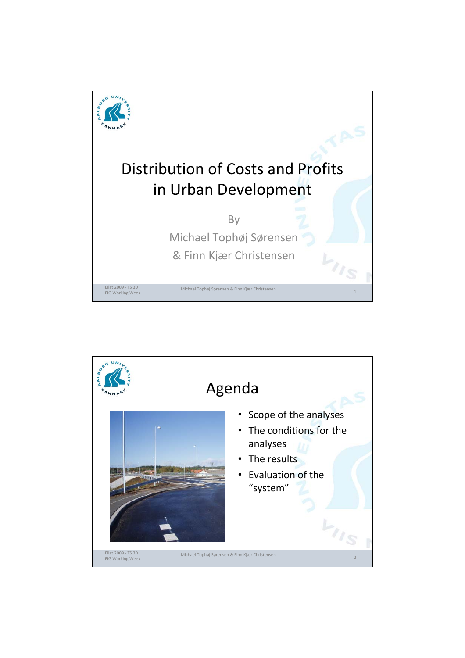

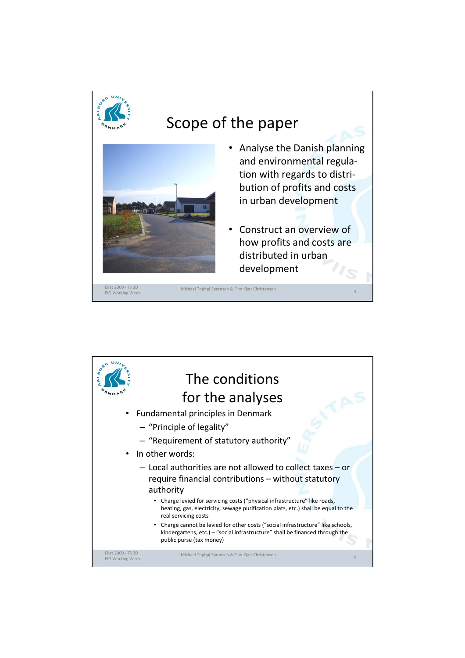

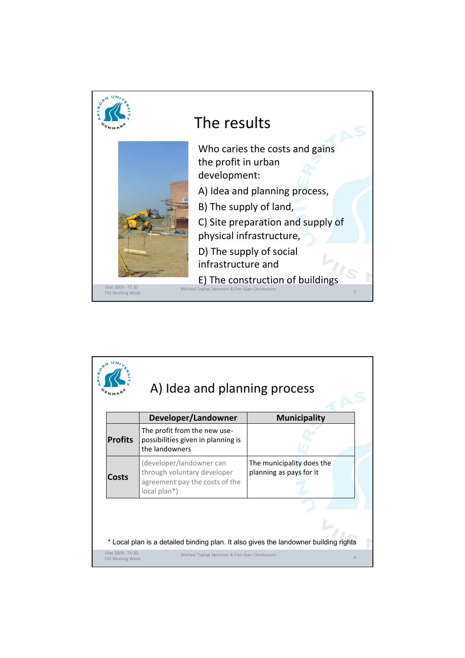

|                | Developer/Landowner                                                                                       | <b>Municipality</b>                                  |
|----------------|-----------------------------------------------------------------------------------------------------------|------------------------------------------------------|
| <b>Profits</b> | The profit from the new use-<br>possibilities given in planning is<br>the landowners                      |                                                      |
| Costs          | (developer/landowner can<br>through voluntary developer<br>agreement pay the costs of the<br>local plan*) | The municipality does the<br>planning as pays for it |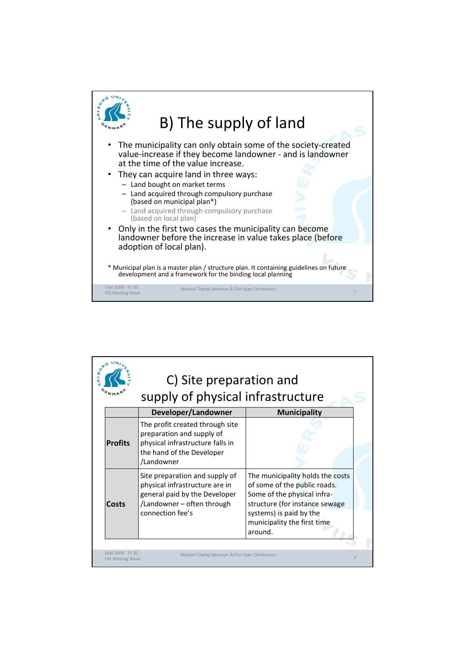

|                | C) Site preparation and<br>supply of physical infrastructure                                                                                        |                                                                                                                                                                                                        |  |
|----------------|-----------------------------------------------------------------------------------------------------------------------------------------------------|--------------------------------------------------------------------------------------------------------------------------------------------------------------------------------------------------------|--|
|                | Developer/Landowner                                                                                                                                 | <b>Municipality</b>                                                                                                                                                                                    |  |
| <b>Profits</b> | The profit created through site<br>preparation and supply of<br>physical infrastructure falls in<br>the hand of the Developer<br>/Landowner         |                                                                                                                                                                                                        |  |
| <b>Costs</b>   | Site preparation and supply of<br>physical infrastructure are in<br>general paid by the Developer<br>/Landowner - often through<br>connection fee's | The municipality holds the costs<br>of some of the public roads.<br>Some of the physical infra-<br>structure (for instance sewage<br>systems) is paid by the<br>municipality the first time<br>around. |  |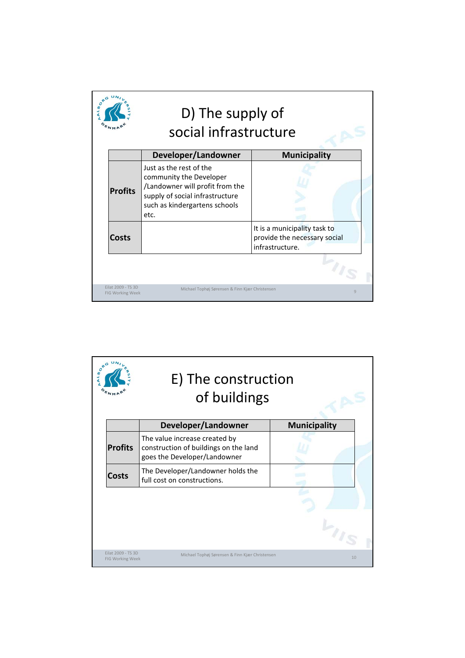|                | social infrastructure                                                                                                                                             |                                                                                 |
|----------------|-------------------------------------------------------------------------------------------------------------------------------------------------------------------|---------------------------------------------------------------------------------|
|                | Developer/Landowner                                                                                                                                               | <b>Municipality</b>                                                             |
| <b>Profits</b> | Just as the rest of the<br>community the Developer<br>/Landowner will profit from the<br>supply of social infrastructure<br>such as kindergartens schools<br>etc. |                                                                                 |
| Costs          |                                                                                                                                                                   | It is a municipality task to<br>provide the necessary social<br>infrastructure. |
|                |                                                                                                                                                                   |                                                                                 |

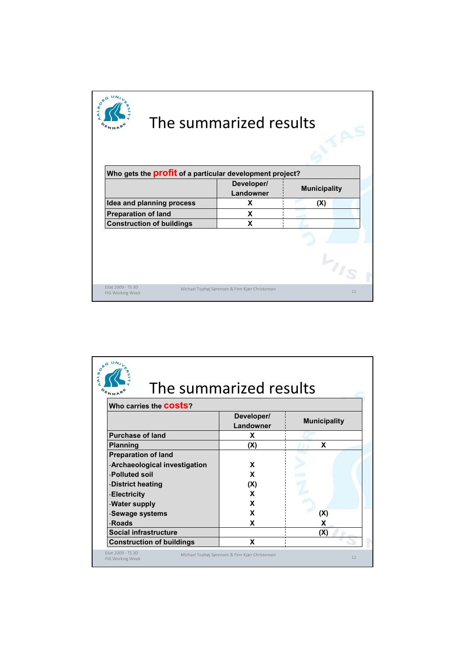|                                                                 | The summarized results                          |                     |    |
|-----------------------------------------------------------------|-------------------------------------------------|---------------------|----|
| Who gets the <b>profit</b> of a particular development project? |                                                 |                     |    |
|                                                                 | Developer/<br>Landowner                         | <b>Municipality</b> |    |
| Idea and planning process                                       | X                                               | (X)                 |    |
| <b>Preparation of land</b>                                      | X                                               |                     |    |
| <b>Construction of buildings</b>                                | X                                               |                     |    |
|                                                                 |                                                 |                     |    |
|                                                                 |                                                 |                     |    |
| Eilat 2009 - TS 3D<br>FIG Working Week                          | Michael Tophøj Sørensen & Finn Kjær Christensen |                     | 11 |

| Who carries the <b>COStS</b> ?   |                         |                     |
|----------------------------------|-------------------------|---------------------|
|                                  | Developer/<br>Landowner | <b>Municipality</b> |
| <b>Purchase of land</b>          | X                       |                     |
| <b>Planning</b>                  | (X)                     | X                   |
| <b>Preparation of land</b>       |                         |                     |
| -Archaeological investigation    | X                       |                     |
| -Polluted soil                   | X                       |                     |
| -District heating                | (X)                     |                     |
| -Electricity                     | X                       |                     |
| -Water supply                    | X                       |                     |
| -Sewage systems                  | X                       | (X)                 |
| -Roads                           | X                       | X                   |
| <b>Social infrastructure</b>     |                         | (X)                 |
| <b>Construction of buildings</b> | X                       |                     |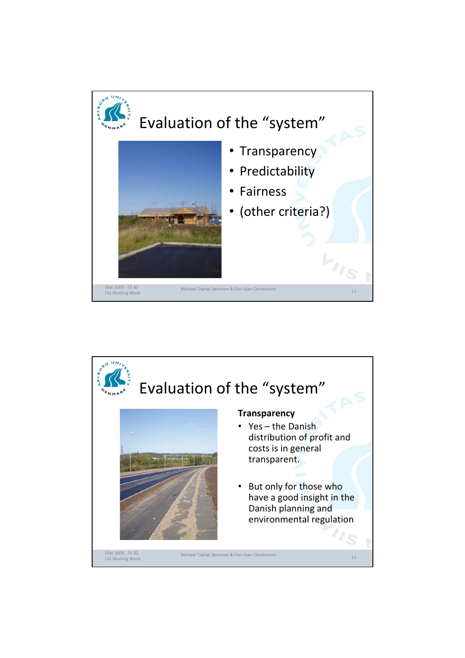

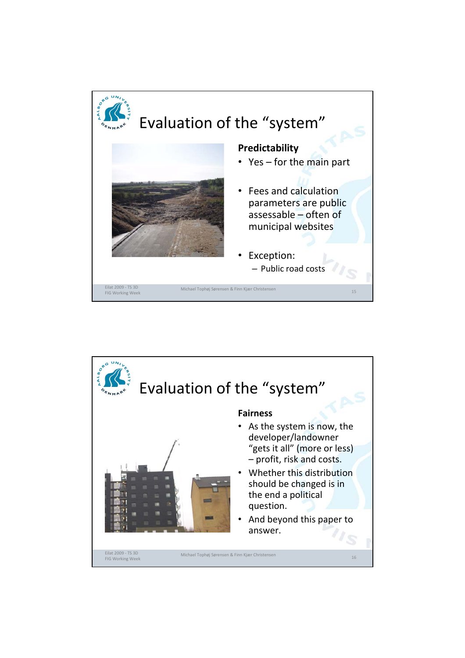